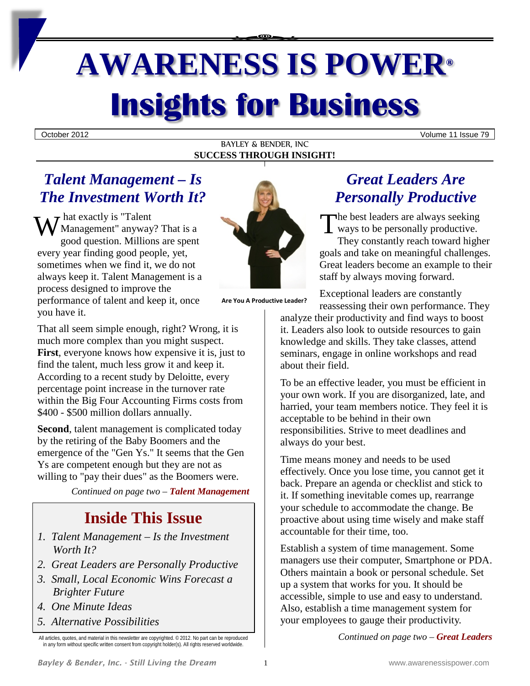# **AWARENESS IS POWER® Insights for Business**

October 2012 Volume 11 Issue 79

#### BAYLEY & BENDER, INC **SUCCESS THROUGH INSIGHT!**

## *Talent Management – Is The Investment Worth It?*

 $\tau$  hat exactly is "Talent" Management" anyway? That is a good question. Millions are spent every year finding good people, yet, sometimes when we find it, we do not always keep it. Talent Management is a process designed to improve the performance of talent and keep it, once you have it. W hat exactly is "Talent<br>
Management" anyway? That is a<br>
sood question Millions are spent

That all seem simple enough, right? Wrong, it is much more complex than you might suspect. **First**, everyone knows how expensive it is, just to find the talent, much less grow it and keep it. According to a recent study by Deloitte, every percentage point increase in the turnover rate within the Big Four Accounting Firms costs from \$400 - \$500 million dollars annually.

**Second**, talent management is complicated today by the retiring of the Baby Boomers and the emergence of the "Gen Ys." It seems that the Gen Ys are competent enough but they are not as willing to "pay their dues" as the Boomers were.

*Continued on page two – Talent Management*

# **Inside This Issue**

- *1. Talent Management – Is the Investment Worth It?*
- *2. Great Leaders are Personally Productive*
- *3. Small, Local Economic Wins Forecast a Brighter Future*
- *4. One Minute Ideas*
- *5. Alternative Possibilities*



**Are You A Productive Leader?**

## *Great Leaders Are Personally Productive*

The best leaders are always seeking ways to be personally productive. They constantly reach toward higher goals and take on meaningful challenges. Great leaders become an example to their staff by always moving forward.

Exceptional leaders are constantly reassessing their own performance. They

analyze their productivity and find ways to boost it. Leaders also look to outside resources to gain knowledge and skills. They take classes, attend seminars, engage in online workshops and read about their field.

To be an effective leader, you must be efficient in your own work. If you are disorganized, late, and harried, your team members notice. They feel it is acceptable to be behind in their own responsibilities. Strive to meet deadlines and always do your best.

Time means money and needs to be used effectively. Once you lose time, you cannot get it back. Prepare an agenda or checklist and stick to it. If something inevitable comes up, rearrange your schedule to accommodate the change. Be proactive about using time wisely and make staff accountable for their time, too.

Establish a system of time management. Some managers use their computer, Smartphone or PDA. Others maintain a book or personal schedule. Set up a system that works for you. It should be accessible, simple to use and easy to understand. Also, establish a time management system for your employees to gauge their productivity.

*Continued on page two – Great Leaders*

All articles, quotes, and material in this newsletter are copyrighted. © 2012. No part can be reproduced in any form without specific written consent from copyright holder(s). All rights reserved worldwide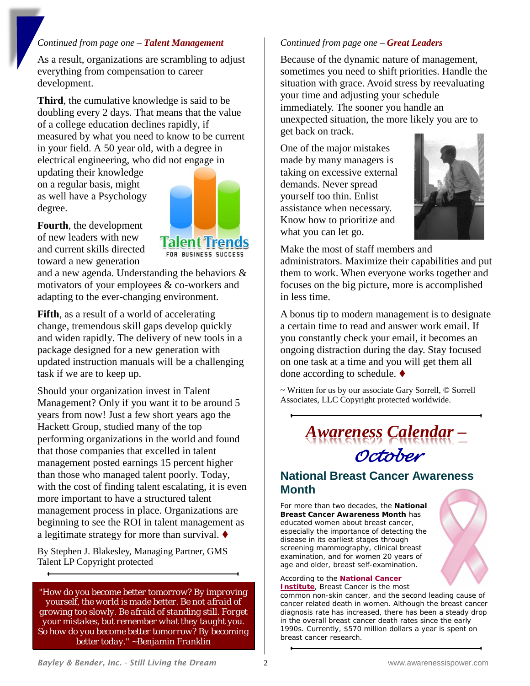#### *Continued from page one – Talent Management*

As a result, organizations are scrambling to adjust everything from compensation to career development.

**Third**, the cumulative knowledge is said to be doubling every 2 days. That means that the value of a college education declines rapidly, if measured by what you need to know to be current in your field. A 50 year old, with a degree in electrical engineering, who did not engage in

updating their knowledge on a regular basis, might as well have a Psychology degree.



**Fourth**, the development of new leaders with new and current skills directed toward a new generation

and a new agenda. Understanding the behaviors & motivators of your employees & co-workers and adapting to the ever-changing environment.

**Fifth**, as a result of a world of accelerating change, tremendous skill gaps develop quickly and widen rapidly. The delivery of new tools in a package designed for a new generation with updated instruction manuals will be a challenging task if we are to keep up.

Should your organization invest in Talent Management? Only if you want it to be around 5 years from now! Just a few short years ago the Hackett Group, studied many of the top performing organizations in the world and found that those companies that excelled in talent management posted earnings 15 percent higher than those who managed talent poorly. Today, with the cost of finding talent escalating, it is even more important to have a structured talent management process in place. Organizations are beginning to see the ROI in talent management as a legitimate strategy for more than survival.  $\blacklozenge$ 

By Stephen J. Blakesley, Managing Partner, GMS Talent LP Copyright protected

*"How do you become better tomorrow? By improving yourself, the world is made better. Be not afraid of growing too slowly. Be afraid of standing still. Forget your mistakes, but remember what they taught you. So how do you become better tomorrow? By becoming better today." ~Benjamin Franklin*

#### *Continued from page one – Great Leaders*

Because of the dynamic nature of management, sometimes you need to shift priorities. Handle the situation with grace. Avoid stress by reevaluating your time and adjusting your schedule immediately. The sooner you handle an unexpected situation, the more likely you are to get back on track.

One of the major mistakes made by many managers is taking on excessive external demands. Never spread yourself too thin. Enlist assistance when necessary. Know how to prioritize and what you can let go.



Make the most of staff members and administrators. Maximize their capabilities and put them to work. When everyone works together and focuses on the big picture, more is accomplished in less time.

A bonus tip to modern management is to designate a certain time to read and answer work email. If you constantly check your email, it becomes an ongoing distraction during the day. Stay focused on one task at a time and you will get them all done according to schedule.

~ Written for us by our associate Gary Sorrell, © Sorrell Associates, LLC Copyright protected worldwide.

> *Awareness Calendar – October*

## **National Breast Cancer Awareness Month**

For more than two decades, the **National Breast Cancer Awareness Month** has educated women about breast cancer, especially the importance of detecting the disease in its earliest stages through screening mammography, clinical breast examination, and for women 20 years of age and older, breast self-examination.



According to the **[National Cancer](http://www.cancer.gov/cancertopics/types/breast)  [Institute](http://www.cancer.gov/cancertopics/types/breast)**, Breast Cancer is the most

common non-skin cancer, and the second leading cause of cancer related death in women. Although the breast cancer diagnosis rate has increased, there has been a steady drop in the overall breast cancer death rates since the early 1990s. Currently, \$570 million dollars a year is spent on breast cancer research.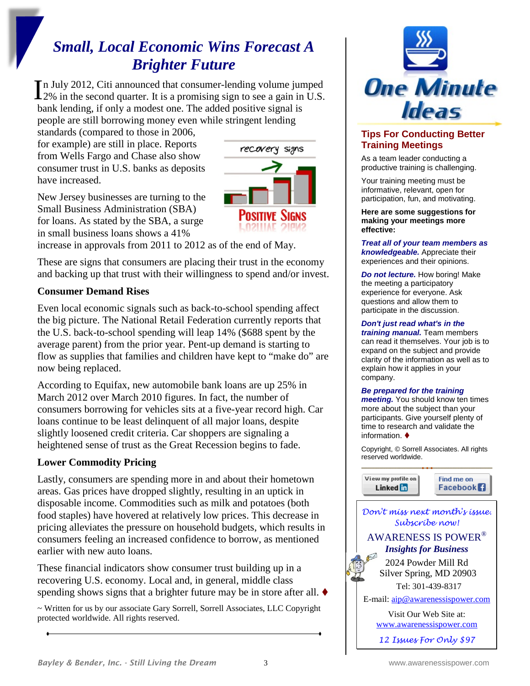# *Small, Local Economic Wins Forecast A Brighter Future*

n July 2012, Citi announced that consumer-lending volume jumped In July 2012, Citi announced that consumer-lending volume jumped<br>2% in the second quarter. It is a promising sign to see a gain in U.S. bank lending, if only a modest one. The added positive signal is people are still borrowing money even while stringent lending

standards (compared to those in 2006, for example) are still in place. Reports from Wells Fargo and Chase also show consumer trust in U.S. banks as deposits have increased.



New Jersey businesses are turning to the Small Business Administration (SBA) for loans. As stated by the SBA, a surge in small business loans shows a 41%

increase in approvals from 2011 to 2012 as of the end of May.

These are signs that consumers are placing their trust in the economy and backing up that trust with their willingness to spend and/or invest.

#### **Consumer Demand Rises**

Even local economic signals such as back-to-school spending affect the big picture. The National Retail Federation currently reports that the U.S. back-to-school spending will leap 14% (\$688 spent by the average parent) from the prior year. Pent-up demand is starting to flow as supplies that families and children have kept to "make do" are now being replaced.

According to Equifax, new automobile bank loans are up 25% in March 2012 over March 2010 figures. In fact, the number of consumers borrowing for vehicles sits at a five-year record high. Car loans continue to be least delinquent of all major loans, despite slightly loosened credit criteria. Car shoppers are signaling a heightened sense of trust as the Great Recession begins to fade.

## **Lower Commodity Pricing**

Lastly, consumers are spending more in and about their hometown areas. Gas prices have dropped slightly, resulting in an uptick in disposable income. Commodities such as milk and potatoes (both food staples) have hovered at relatively low prices. This decrease in pricing alleviates the pressure on household budgets, which results in consumers feeling an increased confidence to borrow, as mentioned earlier with new auto loans.

These financial indicators show consumer trust building up in a recovering U.S. economy. Local and, in general, middle class spending shows signs that a brighter future may be in store after all.  $\blacklozenge$ 

~ Written for us by our associate Gary Sorrell, Sorrell Associates, LLC Copyright protected worldwide. All rights reserved.



#### **Tips For Conducting Better Training Meetings**

As a team leader conducting a productive training is challenging.

Your training meeting must be informative, relevant, open for participation, fun, and motivating.

**Here are some suggestions for making your meetings more effective:**

*Treat all of your team members as knowledgeable.* Appreciate their experiences and their opinions.

*Do not lecture.* How boring! Make the meeting a participatory experience for everyone. Ask questions and allow them to participate in the discussion.

#### *Don't just read what's in the*

*training manual.* Team members can read it themselves. Your job is to expand on the subject and provide clarity of the information as well as to explain how it applies in your company.

#### *Be prepared for the training*

*meeting.* You should know ten times more about the subject than your participants. Give yourself plenty of time to research and validate the information. ♦

Copyright, © Sorrell Associates. All rights reserved worldwide.